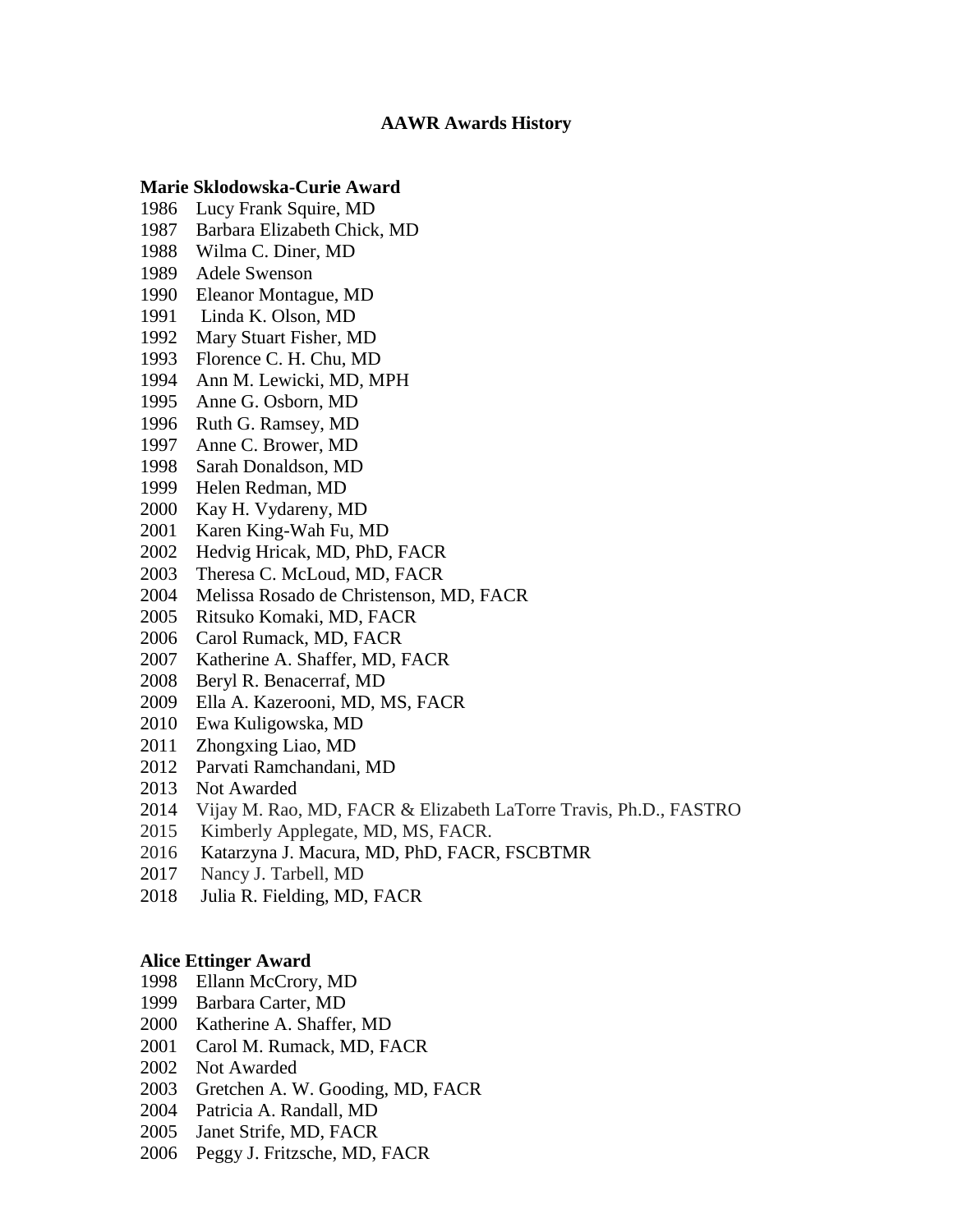## **AAWR Awards History**

## **Marie Sklodowska-Curie Award**

- Lucy Frank Squire, MD
- Barbara Elizabeth Chick, MD
- Wilma C. Diner, MD
- Adele Swenson
- Eleanor Montague, MD
- 1991 Linda K. Olson, MD
- Mary Stuart Fisher, MD
- Florence C. H. Chu, MD
- Ann M. Lewicki, MD, MPH
- Anne G. Osborn, MD
- Ruth G. Ramsey, MD
- Anne C. Brower, MD
- Sarah Donaldson, MD
- Helen Redman, MD
- Kay H. Vydareny, MD
- Karen King-Wah Fu, MD
- Hedvig Hricak, MD, PhD, FACR
- Theresa C. McLoud, MD, FACR
- Melissa Rosado de Christenson, MD, FACR
- Ritsuko Komaki, MD, FACR
- Carol Rumack, MD, FACR
- Katherine A. Shaffer, MD, FACR
- 2008 Beryl R. Benacerraf, MD
- Ella A. Kazerooni, MD, MS, FACR
- Ewa Kuligowska, MD
- Zhongxing Liao, MD
- Parvati Ramchandani, MD
- Not Awarded
- 2014 Vijay M. Rao, MD, FACR & Elizabeth LaTorre Travis, Ph.D., FASTRO
- Kimberly Applegate, MD, MS, FACR.
- 2016 Katarzyna J. Macura, MD, PhD, FACR, FSCBTMR
- Nancy J. Tarbell, MD
- Julia R. Fielding, MD, FACR

### **Alice Ettinger Award**

- Ellann McCrory, MD
- Barbara Carter, MD
- Katherine A. Shaffer, MD
- Carol M. Rumack, MD, FACR
- Not Awarded
- Gretchen A. W. Gooding, MD, FACR
- Patricia A. Randall, MD
- Janet Strife, MD, FACR
- Peggy J. Fritzsche, MD, FACR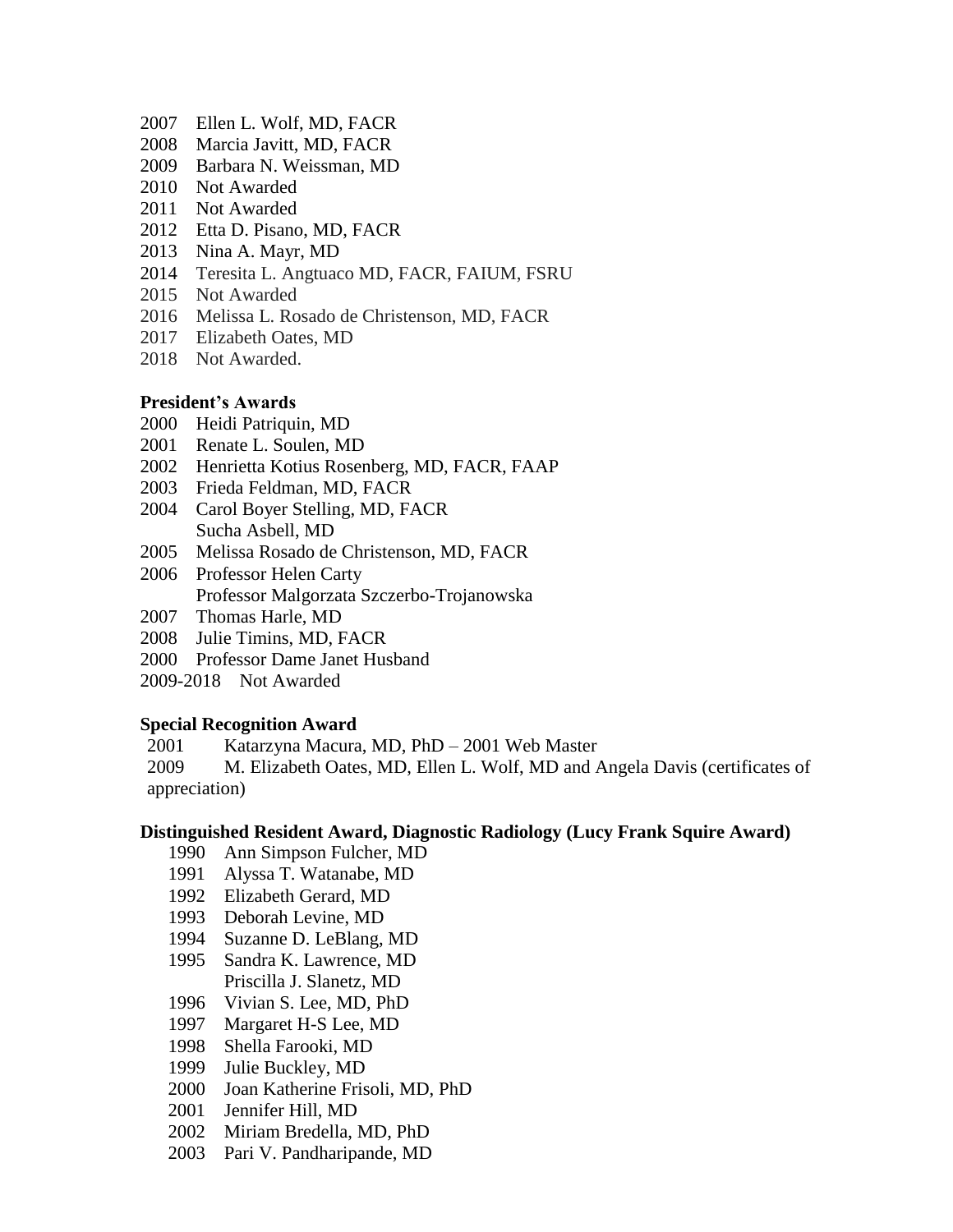- Ellen L. Wolf, MD, FACR
- Marcia Javitt, MD, FACR
- Barbara N. Weissman, MD
- Not Awarded
- Not Awarded
- Etta D. Pisano, MD, FACR
- Nina A. Mayr, MD
- Teresita L. Angtuaco MD, FACR, FAIUM, FSRU
- 2015 Not Awarded
- 2016 Melissa L. Rosado de Christenson, MD, FACR
- 2017 Elizabeth Oates, MD
- Not Awarded.

# **President's Awards**

- Heidi Patriquin, MD
- Renate L. Soulen, MD
- Henrietta Kotius Rosenberg, MD, FACR, FAAP
- Frieda Feldman, MD, FACR
- Carol Boyer Stelling, MD, FACR Sucha Asbell, MD
- Melissa Rosado de Christenson, MD, FACR
- 2006 Professor Helen Carty Professor Malgorzata Szczerbo-Trojanowska
- 2007 Thomas Harle, MD
- 2008 Julie Timins, MD, FACR
- 2000 Professor Dame Janet Husband
- 2009-2018 Not Awarded

## **Special Recognition Award**

Katarzyna Macura, MD, PhD – 2001 Web Master

2009 M. Elizabeth Oates, MD, Ellen L. Wolf, MD and Angela Davis (certificates of appreciation)

## **Distinguished Resident Award, Diagnostic Radiology (Lucy Frank Squire Award)**

- Ann Simpson Fulcher, MD
- Alyssa T. Watanabe, MD
- Elizabeth Gerard, MD
- Deborah Levine, MD
- Suzanne D. LeBlang, MD
- Sandra K. Lawrence, MD Priscilla J. Slanetz, MD
- Vivian S. Lee, MD, PhD
- Margaret H-S Lee, MD
- Shella Farooki, MD
- Julie Buckley, MD
- Joan Katherine Frisoli, MD, PhD
- Jennifer Hill, MD
- Miriam Bredella, MD, PhD
- Pari V. Pandharipande, MD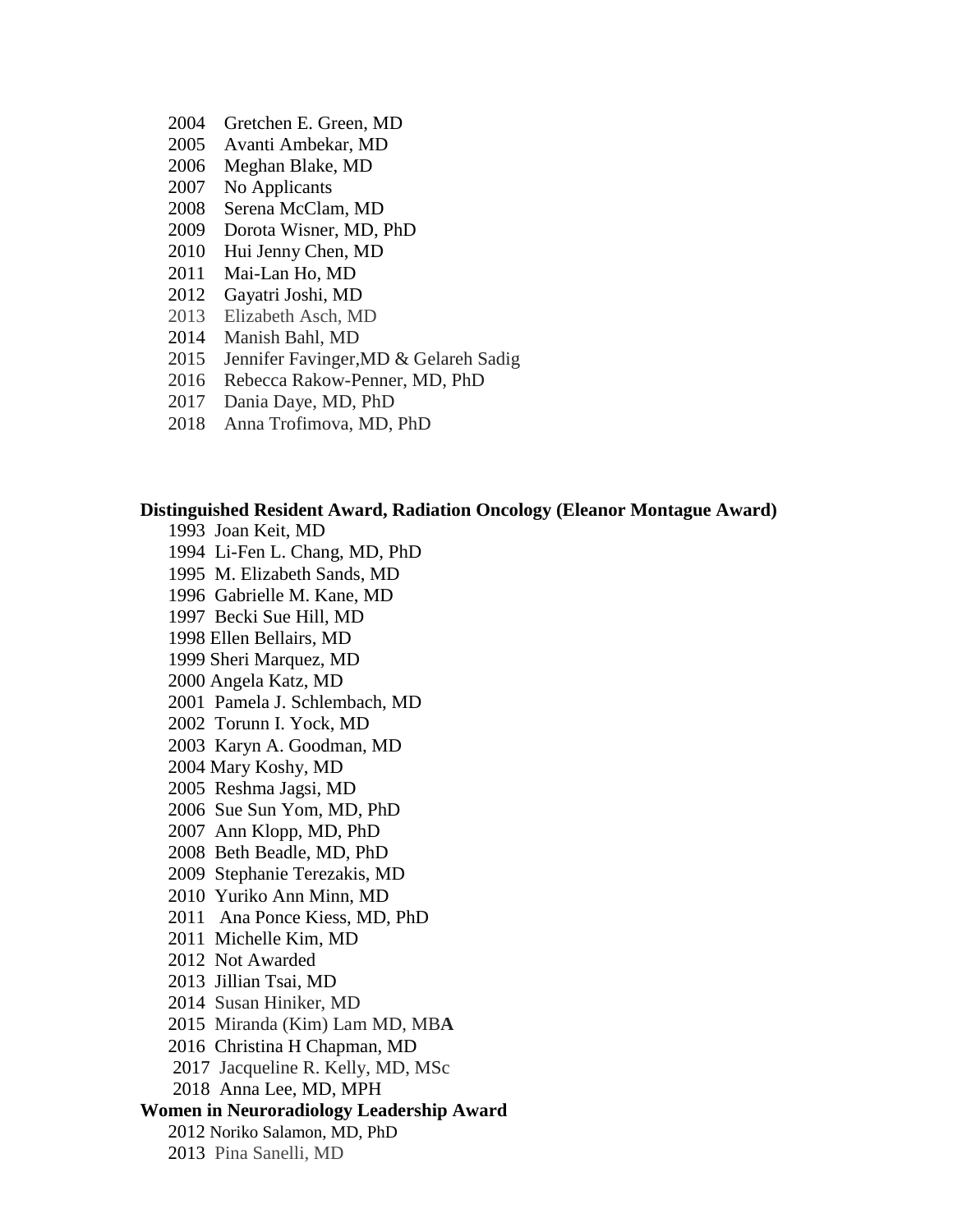- 2004 Gretchen E. Green, MD
- 2005 Avanti Ambekar, MD
- 2006 Meghan Blake, MD
- 2007 No Applicants
- 2008 Serena McClam, MD
- 2009 Dorota Wisner, MD, PhD
- 2010 Hui Jenny Chen, MD
- 2011 Mai-Lan Ho, MD
- 2012 Gayatri Joshi, MD
- 2013 Elizabeth Asch, MD
- 2014 Manish Bahl, MD
- 2015 Jennifer Favinger,MD & Gelareh Sadig
- 2016 Rebecca Rakow-Penner, MD, PhD
- 2017 Dania Daye, MD, PhD
- 2018 Anna [Trofimova,](https://www.aawr.org/Resources/CurrentNewsletter/Winter2019#43211479-lucy-squire-award) MD, PhD

### **Distinguished Resident Award, Radiation Oncology (Eleanor Montague Award)**

1993 Joan Keit, MD 1994 Li-Fen L. Chang, MD, PhD 1995 M. Elizabeth Sands, MD 1996 Gabrielle M. Kane, MD 1997 Becki Sue Hill, MD 1998 Ellen Bellairs, MD 1999 Sheri Marquez, MD 2000 Angela Katz, MD 2001 Pamela J. Schlembach, MD 2002 Torunn I. Yock, MD 2003 Karyn A. Goodman, MD 2004 Mary Koshy, MD 2005 Reshma Jagsi, MD 2006 Sue Sun Yom, MD, PhD 2007 Ann Klopp, MD, PhD 2008 Beth Beadle, MD, PhD 2009 Stephanie Terezakis, MD 2010 Yuriko Ann Minn, MD 2011 Ana Ponce Kiess, MD, PhD 2011 Michelle Kim, MD 2012 Not Awarded 2013 Jillian Tsai, MD 2014 Susan Hiniker, MD 2015 Miranda (Kim) Lam MD, MB**A** 2016 Christina H Chapman, MD 2017 Jacqueline R. Kelly, MD, MSc 2018 Anna Lee, MD, MPH **Women in Neuroradiology Leadership Award** 2012 Noriko Salamon, MD, PhD 2013 Pina Sanelli, MD